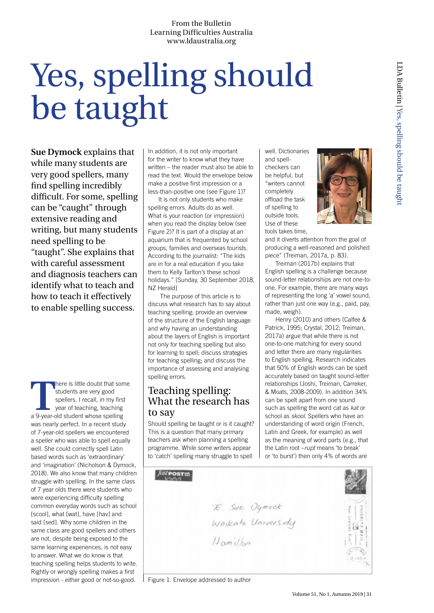# Yes, spelling should be taught

**Sue Dymock** explains that while many students are very good spellers, many find spelling incredibly difficult. For some, spelling can be "caught" through extensive reading and writing, but many students need spelling to be "taught". She explains that with careful assessment and diagnosis teachers can identify what to teach and how to teach it effectively to enable spelling success.

There is little doubt that some students are very good spellers. I recall, in my first year of teaching, teaching a 9-year-old student whose spelling students are very good spellers. I recall, in my first year of teaching, teaching was nearly perfect. In a recent study of 7-year-old spellers we encountered a speller who was able to spell equally well. She could correctly spell Latin based words such as 'extraordinary' and 'imagination' (Nicholson & Dymock, 2018). We also know that many children struggle with spelling. In the same class of 7 year olds there were students who were experiencing difficulty spelling common everyday words such as school [scool], what [wat], have [hav] and said [sed]. Why some children in the same class are good spellers and others are not, despite being exposed to the same learning experiences, is not easy to answer. What we do know is that teaching spelling helps students to write. Rightly or wrongly spelling makes a first impression - either good or not-so-good.

In addition, it is not only important for the writer to know what they have written – the reader must also be able to read the text. Would the envelope below make a positive first impression or a less-than-positive one (see Figure 1)?

It is not only students who make spelling errors. Adults do as well. What is your reaction (or impression) when you read the display below (see Figure 2)? It is part of a display at an aquarium that is frequented by school groups, families and overseas tourists. According to the journalist: "The kids are in for a real education if you take them to Kelly Tarlton's these school holidays." [Sunday, 30 September 2018, NZ Herald]

 The purpose of this article is to discuss what research has to say about teaching spelling; provide an overview of the structure of the English language and why having an understanding about the layers of English is important not only for teaching spelling but also for learning to spell; discuss strategies for teaching spelling; and discuss the importance of assessing and analysing spelling errors.

## Teaching spelling: What the research has to say

Should spelling be taught or is it caught? This is a question that many primary teachers ask when planning a spelling programme. While some writers appear to 'catch' spelling many struggle to spell

well. Dictionaries and spellcheckers can be helpful, but "writers cannot completely offload the task of spelling to outside tools. Use of these tools takes time,



and it diverts attention from the goal of producing a well-reasoned and polished piece" (Treiman, 2017a, p. 83).

Treiman (2017b) explains that English spelling is a challenge because sound-letter relationships are not one-toone. For example, there are many ways of representing the long 'a' vowel sound, rather than just one way (e.g., paid, pay, made, weigh).

Henry (2010) and others (Calfee & Patrick, 1995; Crystal, 2012; Treiman, 2017a) argue that while there is not one-to-one matching for every sound and letter there are many regularities to English spelling. Research indicates that 50% of English words can be spelt accurately based on taught sound-letter relationships (Joshi, Treiman, Carreker, & Moats, 2008-2009). In addition 34% can be spelt apart from one sound such as spelling the word cat as *kat* or school as *skool*. Spellers who have an understanding of word origin (French, Latin and Greek, for example) as well as the meaning of word parts (e.g., that the Latin root –*rupt* means 'to break' or 'to burst') then only 4% of words are



Figure 1. Envelope addressed to author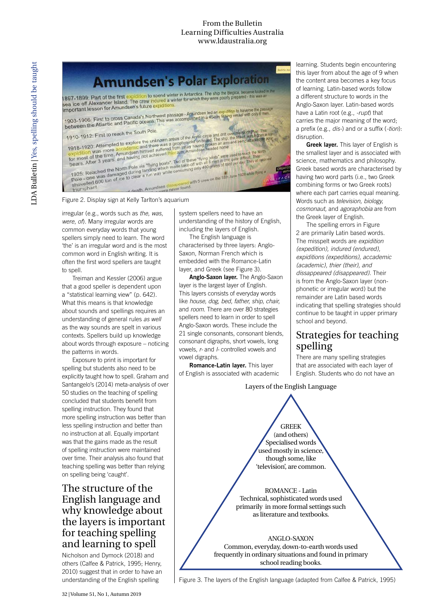

irregular (e.g., words such as *the*, *was*, *were*, *of*). Many irregular words are common everyday words that young spellers simply need to learn. The word 'the' is an irregular word and is the most common word in English writing. It is often the first word spellers are taught to spell.

Treiman and Kessler (2006) argue that a good speller is dependent upon a "statistical learning view" (p. 642). What this means is that knowledge about sounds and spellings requires an understanding of general rules *as well* as the way sounds are spelt in various contexts. Spellers build up knowledge about words through exposure – noticing the patterns in words.

Exposure to print is important for spelling but students also need to be explicitly taught how to spell. Graham and Santangelo's (2014) meta-analysis of over 50 studies on the teaching of spelling concluded that students benefit from spelling instruction. They found that more spelling instruction was better than less spelling instruction and better than no instruction at all. Equally important was that the gains made as the result of spelling instruction were maintained over time. Their analysis also found that teaching spelling was better than relying on spelling being 'caught'.

## The structure of the English language and why knowledge about the layers is important for teaching spelling and learning to spell

Nicholson and Dymock (2018) and others (Calfee & Patrick, 1995; Henry, 2010) suggest that in order to have an understanding of the English spelling

system spellers need to have an understanding of the history of English, including the layers of English.

The English language is characterised by three layers: Anglo-Saxon, Norman French which is embedded with the Romance-Latin layer, and Greek (see Figure 3).

**Anglo-Saxon layer.** The Anglo-Saxon layer is the largest layer of English. This layers consists of everyday words like *house, dog, bed, father, ship, chair,* and *room*. There are over 80 strategies spellers need to learn in order to spell Anglo-Saxon words. These include the 21 single consonants, consonant blends, consonant digraphs, short vowels, long vowels, *r-* and *l-* controlled vowels and vowel digraphs.

**Romance-Latin layer.** This layer of English is associated with academic

learning. Students begin encountering this layer from about the age of 9 when the content area becomes a key focus of learning. Latin-based words follow a different structure to words in the Anglo-Saxon layer. Latin-based words have a Latin root (e.g., *-rupt*) that carries the major meaning of the word; a prefix (e.g., *dis-*) and or a suffix (*-tion*): disruption.

**Greek layer.** This layer of English is the smallest layer and is associated with science, mathematics and philosophy. Greek based words are characterised by having two word parts (i.e., two Greek combining forms or two Greek roots) where each part carries equal meaning. Words such as *television, biology, cosmonaut,* and *agoraphobia* are from the Greek layer of English.

The spelling errors in Figure 2 are primarily Latin based words. The misspelt words are *expidition (expedition), indured (endured), expiditions (expeditions), accademic (academic), thier (their), and dissappeared (disappeared)*. Their is from the Anglo-Saxon layer (nonphonetic or irregular word) but the remainder are Latin based words indicating that spelling strategies should continue to be taught in upper primary school and beyond.

## Strategies for teaching spelling

There are many spelling strategies that are associated with each layer of English. Students who do not have an

#### Layers of the English Language



ROMANCE - Latin Technical, sophisticated words used primarily in more formal settings such as literature and textbooks.

#### ANGLO-SAXON

Common, everyday, down-to-earth words used frequently in ordinary situations and found in primary school reading books.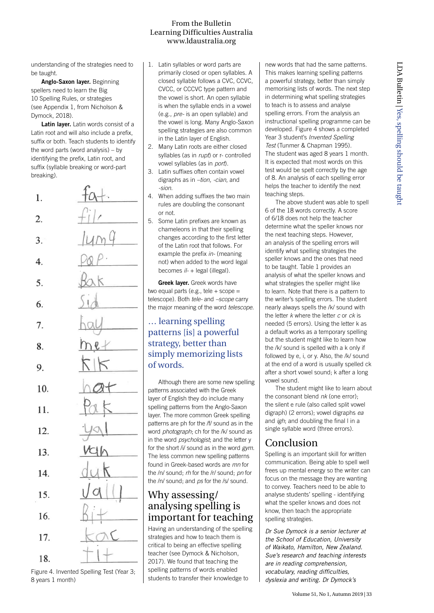understanding of the strategies need to be taught.

**Anglo-Saxon layer.** Beginning spellers need to learn the Big 10 Spelling Rules, or strategies (see Appendix 1, from Nicholson & Dymock, 2018).

**Latin layer.** Latin words consist of a Latin root and will also include a prefix, suffix or both. Teach students to identify the word parts (word analysis) – by identifying the prefix, Latin root, and suffix (syllable breaking or word-part breaking).

| 1.  | $+\alpha +$        |
|-----|--------------------|
| 2.  | $f^{\prime\prime}$ |
| 3.  | $\mu$ mq           |
| 4.  | PQP                |
| 5.  | Bak                |
| 6.  | 514                |
| 7.  | hay                |
| 8.  | $h$ et             |
| 9.  | KK                 |
| 10. | hat                |
| 11. | Pak                |
| 12. | $-49$              |
| 13. | VCH                |
| 14. | duk                |
| 15. | VQ                 |
| 16. | $Q_i \perp$        |
| 17. |                    |
| 18. |                    |

Figure 4. Invented Spelling Test (Year 3; 8 years 1 month)

- 1. Latin syllables or word parts are primarily closed or open syllables. A closed syllable follows a CVC, CCVC, CVCC, or CCCVC type pattern and the vowel is short. An open syllable is when the syllable ends in a vowel (e.g., *pre-* is an open syllable) and the vowel is long. Many Anglo-Saxon spelling strategies are also common in the Latin layer of English.
- 2. Many Latin roots are either closed syllables (as in *rupt*) or r- controlled vowel syllables (as in *port*).
- 3. Latin suffixes often contain vowel digraphs as in *–tion, -cian*, and *-sion*.
- 4. When adding suffixes the two main rules are doubling the consonant or not.
- 5. Some Latin prefixes are known as chameleons in that their spelling changes according to the first letter of the Latin root that follows. For example the prefix *in-* (meaning not) when added to the word legal becomes *il-* + legal (illegal).

**Greek layer.** Greek words have two equal parts (e.g., tele  $+$  scope  $=$ telescope). Both *tele-* and *–scope* carry the major meaning of the word *telescope*.

### … learning spelling patterns [is] a powerful strategy, better than simply memorizing lists of words.

Although there are some new spelling patterns associated with the Greek layer of English they do include many spelling patterns from the Anglo-Saxon layer. The more common Greek spelling patterns are ph for the /f/ sound as in the word *photograph*; ch for the /k/ sound as in the word *psychologist*; and the letter y for the short /i/ sound as in the word *gym*. The less common new spelling patterns found in Greek-based words are *mn* for the /n/ sound; *rh* for the /r/ sound; *pn* for the /n/ sound; and *ps* for the /s/ sound.

## Why assessing/ analysing spelling is important for teaching

Having an understanding of the spelling strategies and how to teach them is critical to being an effective spelling teacher (see Dymock & Nicholson, 2017). We found that teaching the spelling patterns of words enabled students to transfer their knowledge to

new words that had the same patterns. This makes learning spelling patterns a powerful strategy, better than simply memorising lists of words. The next step in determining what spelling strategies to teach is to assess and analyse spelling errors. From the analysis an instructional spelling programme can be developed. Figure 4 shows a completed Year 3 student's *Invented Spelling Test* (Tunmer & Chapman 1995). The student was aged 8 years 1 month. It is expected that most words on this test would be spelt correctly by the age of 8. An analysis of each spelling error helps the teacher to identify the next teaching steps.

The above student was able to spell 6 of the 18 words correctly. A score of 6/18 does not help the teacher determine what the speller knows nor the next teaching steps. However, an analysis of the spelling errors will identify what spelling strategies the speller knows and the ones that need to be taught. Table 1 provides an analysis of what the speller knows and what strategies the speller might like to learn. Note that there is a pattern to the writer's spelling errors. The student nearly always spells the /k/ sound with the letter *k* where the letter *c* or *ck* is needed (5 errors). Using the letter k as a default works as a temporary spelling but the student might like to learn how the /k/ sound is spelled with a k only if followed by e, i, or y. Also, the /k/ sound at the end of a word is usually spelled ck after a short vowel sound; k after a long vowel sound.

The student might like to learn about the consonant blend *nk* (one error); the silent e rule (also called split vowel digraph) (2 errors); vowel digraphs *ea* and *igh*; and doubling the final l in a single syllable word (three errors).

## Conclusion

Spelling is an important skill for written communication. Being able to spell well frees up mental energy so the writer can focus on the message they are wanting to convey. Teachers need to be able to analyse students' spelling - identifying what the speller knows and does not know, then teach the appropriate spelling strategies.

*Dr Sue Dymock is a senior lecturer at the School of Education, University of Waikato, Hamilton, New Zealand. Sue's research and teaching interests are in reading comprehension, vocabulary, reading difficulties, dyslexia and writing. Dr Dymock's*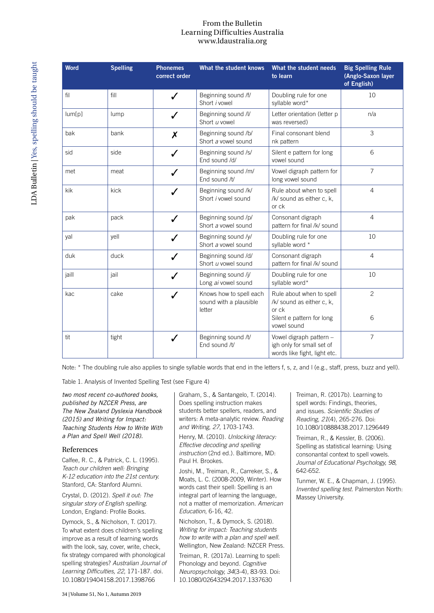| <b>Word</b> | <b>Spelling</b> | <b>Phonemes</b><br>correct order | What the student knows                                      | What the student needs<br>to learn                                                                         | <b>Big Spelling Rule</b><br>(Anglo-Saxon layer<br>of English) |
|-------------|-----------------|----------------------------------|-------------------------------------------------------------|------------------------------------------------------------------------------------------------------------|---------------------------------------------------------------|
| fil         | fill            | ✓                                | Beginning sound /f/<br>Short <i>i</i> vowel                 | Doubling rule for one<br>syllable word*                                                                    | 10                                                            |
| lum[p]      | lump            |                                  | Beginning sound /l/<br>Short u vowel                        | Letter orientation (letter p<br>was reversed)                                                              | n/a                                                           |
| bak         | bank            | X                                | Beginning sound /b/<br>Short a vowel sound                  | Final consonant blend<br>nk pattern                                                                        | 3                                                             |
| sid         | side            | J                                | Beginning sound /s/<br>End sound /d/                        | Silent e pattern for long<br>vowel sound                                                                   | 6                                                             |
| met         | meat            | J                                | Beginning sound /m/<br>End sound /t/                        | Vowel digraph pattern for<br>long vowel sound                                                              | $\overline{7}$                                                |
| kik         | kick            |                                  | Beginning sound /k/<br>Short <i>i</i> vowel sound           | Rule about when to spell<br>/k/ sound as either c, k,<br>or ck                                             | $\overline{4}$                                                |
| pak         | pack            |                                  | Beginning sound /p/<br>Short a vowel sound                  | Consonant digraph<br>pattern for final /k/ sound                                                           | $\overline{4}$                                                |
| yal         | yell            |                                  | Beginning sound /y/<br>Short a vowel sound                  | Doubling rule for one<br>syllable word *                                                                   | 10                                                            |
| duk         | duck            |                                  | Beginning sound /d/<br>Short u vowel sound                  | Consonant digraph<br>pattern for final /k/ sound                                                           | $\overline{4}$                                                |
| jaill       | jail            |                                  | Beginning sound /j/<br>Long ai vowel sound                  | Doubling rule for one<br>syllable word*                                                                    | 10                                                            |
| kac         | cake            |                                  | Knows how to spell each<br>sound with a plausible<br>letter | Rule about when to spell<br>/k/ sound as either c, k,<br>or ck<br>Silent e pattern for long<br>vowel sound | $\overline{c}$<br>6                                           |
| tit         | tight           | ✓                                | Beginning sound /t/<br>End sound /t/                        | Vowel digraph pattern -<br>igh only for small set of<br>words like fight, light etc.                       | $\overline{7}$                                                |

Note: \* The doubling rule also applies to single syllable words that end in the letters f, s, z, and I (e.g., staff, press, buzz and yell).

Table 1. Analysis of Invented Spelling Test (see Figure 4)

*two most recent co-authored books, published by NZCER Press, are The New Zealand Dyslexia Handbook (2015) and Writing for Impact: Teaching Students How to Write With a Plan and Spell Well (2018).* 

#### References

Calfee, R. C., & Patrick, C. L. (1995). *Teach our children well: Bringing K-12 education into the 21st century.* Stanford, CA: Stanford Alumni.

Crystal, D. (2012). *Spell it out: The singular story of English spelling.* London, England: Profile Books.

Dymock, S., & Nicholson, T. (2017). To what extent does children's spelling improve as a result of learning words with the look, say, cover, write, check, fix strategy compared with phonological spelling strategies? *Australian Journal of Learning Difficulties, 22*, 171-187. doi. 10.1080/19404158.2017.1398766

Graham, S., & Santangelo, T. (2014). Does spelling instruction makes students better spellers, readers, and writers: A meta-analytic review. *Reading and Writing, 27*, 1703-1743.

Henry, M. (2010). *Unlocking literacy: Effective decoding and spelling instruction* (2nd ed.). Baltimore, MD: Paul H. Brookes.

Joshi, M., Treiman, R., Carreker, S., & Moats, L. C. (2008-2009, Winter). How words cast their spell: Spelling is an integral part of learning the language, not a matter of memorization. *American Education*, 6-16, 42.

Nicholson, T., & Dymock, S. (2018). *Writing for impact: Teaching students how to write with a plan and spell well.*  Wellington, New Zealand: NZCER Press.

Treiman, R. (2017a). Learning to spell: Phonology and beyond. *Cognitive Neuropsychology, 34*(3-4), 83-93. Doi: 10.1080/02643294.2017.1337630

Treiman, R. (2017b). Learning to spell words: Findings, theories, and issues. *Scientific Studies of Reading, 21*(4), 265-276. Doi: 10.1080/10888438.2017.1296449

Treiman, R., & Kessler, B. (2006). Spelling as statistical learning: Using consonantal context to spell vowels. *Journal of Educational Psychology, 98*, 642-652.

Tunmer, W. E., & Chapman, J. (1995). *Invented spelling test.* Palmerston North: Massey University.